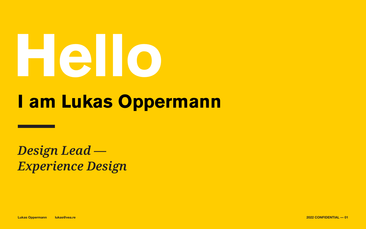**Lukas Oppermann lukas@vea.re 2022 CONFIDENTIAL — 01**

# **I am Lukas Oppermann**







## *Design Lead — Experience Design*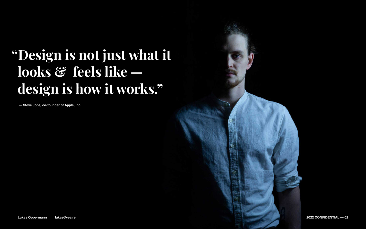**Lukas Oppermann lukas@vea.re 2022 CONFIDENTIAL — 02**





# **"Design is not just what it looks & feels like design is how it works."**

**— Steve Jobs, co-founder of Apple, Inc.**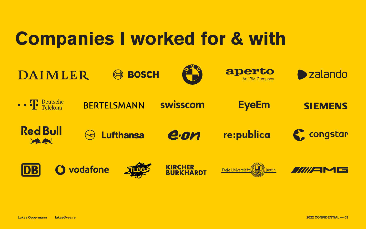# DAIMLER



**Red Bull** Louise

### **O** vodafone DB

**Lukas Oppermann lukas@vea.re 2022 CONFIDENTIAL — 03**

# **Companies I worked for & with**





### swisscom

### Lufthansa





#### KIRCHER BURKHARDT







### **EyeEm**



### re:publica

### **K, congstar**



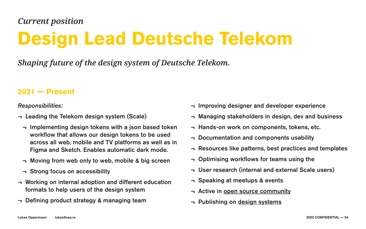### **2021 — Present**

### *Shaping future of the design system of Deutsche Telekom.*

# **Design Lead Deutsche Telekom** *Current position*

*Responsibilities:*

- ¬ Improving designer and developer experience
- ¬ Managing stakeholders in design, dev and business
- ¬ Hands-on work on components, tokens, etc.
- ¬ Documentation and components usability
- ¬ Resources like patterns, best practices and templates
- ¬ Optimising workflows for teams using the
- ¬ User research (internal and external Scale users)
- ¬ Speaking at meetups & events
- $\lnot$  Active in [open source community](https://github.com/lukasoppermann)
- $\neg$  Publishing on [design systems](https://medium.com/@lukasoppermann)

- ¬ Leading the Telekom design system (Scale)
	- ¬ Implementing design tokens with a json based token workflow that allows our design tokens to be used across all web, mobile and TV platforms as well as in Figma and Sketch. Enables automatic dark mode.
	- ¬ Moving from web only to web, mobile & big screen
	- ¬ Strong focus on accessibility
- ¬ Working on internal adoption and different education formats to help users of the design system
- ¬ Defining product strategy & managing team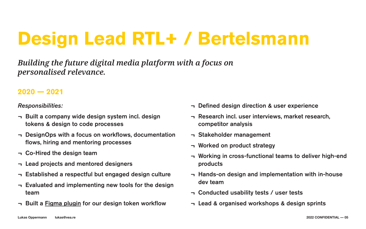### **2020 — 2021**

- ¬ Built a company wide design system incl. design tokens & design to code processes
- ¬ DesignOps with a focus on workflows, documentation flows, hiring and mentoring processes
- ¬ Co-Hired the design team
- ¬ Lead projects and mentored designers
- ¬ Established a respectful but engaged design culture
- ¬ Evaluated and implementing new tools for the design team
- $\neg$  Built a [Figma plugin](https://www.figma.com/community/plugin/888356646278934516/Design-Tokens) for our design token workflow

### *Building the future digital media platform with a focus on personalised relevance.*

# **Design Lead RTL+ / Bertelsmann**

*Responsibilities:*

- ¬ Defined design direction & user experience
- ¬ Research incl. user interviews, market research, competitor analysis
- ¬ Stakeholder management
- ¬ Worked on product strategy
- products
- dev team
- ¬ Conducted usability tests / user tests
- ¬ Lead & organised workshops & design sprints

- ¬ Working in cross-functional teams to deliver high-end
- ¬ Hands-on design and implementation with in-house

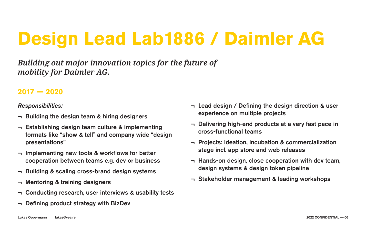### **2017 — 2020**

### *Building out major innovation topics for the future of mobility for Daimler AG.*

# **Design Lead Lab1886 / Daimler AG**

*Responsibilities:*

- ¬ Building the design team & hiring designers
- ¬ Establishing design team culture & implementing formats like "show & tell" and company wide "design presentations"
- ¬ Implementing new tools & workflows for better cooperation between teams e.g. dev or business
- ¬ Building & scaling cross-brand design systems
- ¬ Mentoring & training designers
- ¬ Conducting research, user interviews & usability tests
- ¬ Defining product strategy with BizDev
- ¬ Lead design / Defining the design direction & user experience on multiple projects
- ¬ Delivering high-end products at a very fast pace in cross-functional teams
- ¬ Projects: ideation, incubation & commercialization stage incl. app store and web releases
- ¬ Hands-on design, close cooperation with dev team, design systems & design token pipeline
- ¬ Stakeholder management & leading workshops

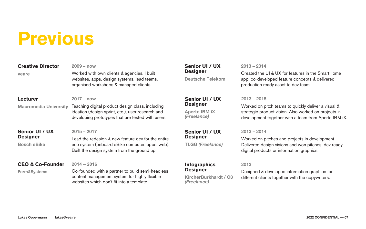#### **CEO & Co-Founder**

**Form&Systems**

#### **Creative Director**

**veare**

#### **Senior UI / UX Designer**

**Aperto IBM iX** *(Freelance)*

#### **Lecturer**

**Macromedia University**

#### **Senior UI / UX Designer**

**TLGG** *(Freelance)*

#### **Senior UI / UX Designer**

**Bosch eBike**

#### **Infographics Designer**

**KircherBurkhardt / C3** *(Freelance)*

#### **2014 – 2016**

Co-founded with a partner to build semi-headless content management system for highly flexible websites which don't fit into a template.

**2009 – now**

Worked with own clients & agencies. I built websites, apps, design systems, lead teams, organised workshops & managed clients.

#### **2013 – 2015**

Worked on pitch teams to quickly deliver a visual & strategic product vision. Also worked on projects in development together with a team from Aperto IBM iX.

#### **2017 – now**

Teaching digital product design class, including ideation (design sprint, etc.), user research and developing prototypes that are tested with users.

#### **2013 – 2014**

Worked on pitches and projects in development. Delivered design visions and won pitches, dev ready digital products or information graphics.

#### **2015 – 2017**

Lead the redesign & new feature dev for the entire eco system (onboard eBike computer, apps, web). Built the design system from the ground up.

#### **2013**

Designed & developed information graphics for different clients together with the copywriters.



# **Previous**

#### **Senior UI / UX Designer**

**Deutsche Telekom**

#### **2013 – 2014**

Created the UI & UX for features in the SmartHome app, co-developed feature concepts & delivered production ready asset to dev team.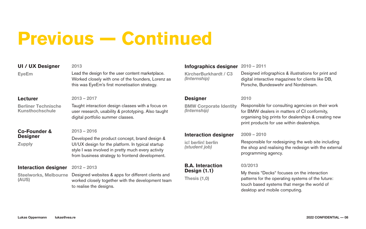**KircherBurkhardt / C3** *(Internship)*

#### **Lecturer**

**Berliner Technische Kunsthochschule**

#### **Designer**

**BMW Corporate Identity** *(Internship)*

#### **Co-Founder & Designer**

#### **Infographics designer 2010 – 2011**

**Zupply**

#### **Interaction designer**

**Steelworks, Melbourne (AUS)**

**ic! berlin! berlin** *(student job)*

#### **B.A. Interaction Design (1.1)**

**Thesis (1,0)**

Designed infographics & illustrations for print and digital interactive magazines for clients like DB, Porsche, Bundeswehr and Nordstream.

#### **2013 – 2017**

Taught interaction design classes with a focus on user research, usability & prototyping. Also taught digital portfolio summer classes.

#### **2010**

#### **Interaction designer 2009 – 2010**

Responsible for consulting agencies on their work for BMW dealers in matters of CI conformity, organising big prints for dealerships & creating new print products for use within dealerships.

#### **2013 – 2016**

Developed the product concept, brand design & UI/UX design for the platform. In typical startup style I was involved in pretty much every activity from business strategy to frontend development.

#### **2012 – 2013**

Designed websites & apps for different clients and worked closely together with the development team to realise the designs.

Responsible for redesigning the web site including the shop and realising the redesign with the external programming agency.

#### **03/2013**

My thesis "Decks" focuses on the interaction patterns for the operating systems of the future: touch based systems that merge the world of desktop and mobile computing.



# **Previous — Continued**

#### **UI / UX Designer**

**EyeEm**

#### **2013**

Lead the design for the user content marketplace. Worked closely with one of the founders, Lorenz as this was EyeEm's first monetisation strategy.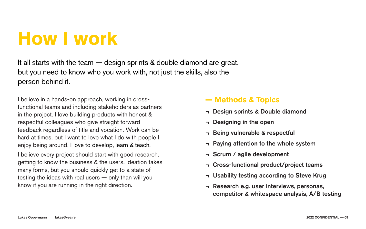- In sprints & Double diamond
- ming in the open
- vulnerable & respectful
- ig attention to the whole system
- m / agile development
- s-functional product/project teams
- ility testing according to Steve Krug
- arch e.g. user interviews, personas, competitor & whitespace analysis, A/B testing



| king in cross-                           | — Met          |
|------------------------------------------|----------------|
| olders as partners<br>with honest &      | <b>- Desig</b> |
| ht forward                               | <b>- Desig</b> |
| ion. Work can be<br>I do with people I   | <b>- Being</b> |
| learn & teach.                           | - Paying       |
| th good research,                        | - Scrun        |
| sers. Ideation takes<br>et to a state of | <b>- Cross</b> |
| ily than will you                        | <b>- Usabi</b> |
| ection.                                  | <b>- Resea</b> |
|                                          |                |

### It all starts with the team — design sprints & double diamond are great, but you need to know who you work with, not just the skills, also the person behind it.

I believe in a hands-on approach, worl functional teams and including stakeh in the project. I love building products respectful colleagues who give straight feedback regardless of title and vocation. hard at times, but I want to love what enjoy being around. I love to develop, I believe every project should start with

getting to know the business & the use many forms, but you should quickly get testing the ideas with real users  $-$  on know if you are running in the right direction.

# **How I work**

### **— Methods & Topics**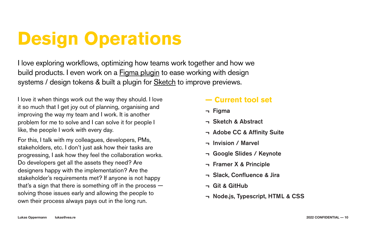I love exploring workflows, optimizing how teams work together and how we build products. I even work on a **[Figma plugin](https://www.figma.com/community/plugin/888356646278934516/Design-Tokens)** to ease working with design systems / design tokens & built a plugin for **[Sketch](https://github.com/lukasoppermann/browser-preview)** to improve previews.

# **Design Operations**

| I love it when things work out the way they should. I love                                                                                                | - Current tool set                                        |
|-----------------------------------------------------------------------------------------------------------------------------------------------------------|-----------------------------------------------------------|
| it so much that I get joy out of planning, organising and                                                                                                 | $\neg$ Figma                                              |
| improving the way my team and I work. It is another<br>problem for me to solve and I can solve it for people I<br>like, the people I work with every day. | <b>- Sketch &amp; Abstract</b><br>- Adobe CC & Affinity S |
| For this, I talk with my colleagues, developers, PMs,<br>stakeholders, etc. I don't just ask how their tasks are                                          | <b>- Invision / Marvel</b>                                |
| progressing, I ask how they feel the collaboration works.                                                                                                 | <b>- Google Slides / Keyng</b>                            |
| Do developers get all the assets they need? Are<br>designers happy with the implementation? Are the                                                       | <b>- Framer X &amp; Principle</b>                         |
| stakeholder's requirements met? If anyone is not happy<br>that's a sign that there is something off in the process $-$                                    | - Slack, Confluence & J<br><b>- Git &amp; GitHub</b>      |
| solving those issues early and allowing the people to<br>own their process always pays out in the long run.                                               | - Node.js, Typescript, H                                  |

- 
- h & Abstract
- e CC & Affinity Suite
- on / Marvel
- $p$ le Slides / Keynote
- er X & Principle
- ., Confluence & Jira
- **GitHub**
- .js, Typescript, HTML & CSS